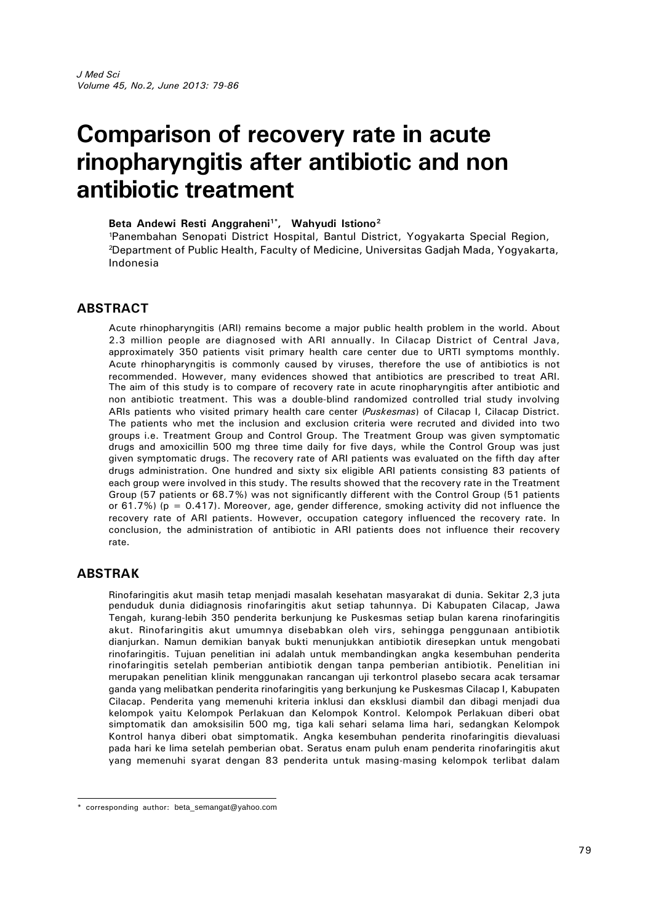# **Comparison of recovery rate in acute rinopharyngitis after antibiotic and non antibiotic treatment**

#### **Beta Andewi Resti Anggraheni1\*, Wahyudi Istiono<sup>2</sup>**

<sup>1</sup>Panembahan Senopati District Hospital, Bantul District, Yogyakarta Special Region, <sup>2</sup>Department of Public Health, Faculty of Medicine, Universitas Gadjah Mada, Yogyakarta, Indonesia

#### **ABSTRACT**

Acute rhinopharyngitis (ARI) remains become a major public health problem in the world. About 2.3 million people are diagnosed with ARI annually. In Cilacap District of Central Java, approximately 350 patients visit primary health care center due to URTI symptoms monthly. Acute rhinopharyngitis is commonly caused by viruses, therefore the use of antibiotics is not recommended. However, many evidences showed that antibiotics are prescribed to treat ARI. The aim of this study is to compare of recovery rate in acute rinopharyngitis after antibiotic and non antibiotic treatment. This was a double-blind randomized controlled trial study involving ARIs patients who visited primary health care center (*Puskesmas*) of Cilacap I, Cilacap District. The patients who met the inclusion and exclusion criteria were recruted and divided into two groups i.e. Treatment Group and Control Group. The Treatment Group was given symptomatic drugs and amoxicillin 500 mg three time daily for five days, while the Control Group was just given symptomatic drugs. The recovery rate of ARI patients was evaluated on the fifth day after drugs administration. One hundred and sixty six eligible ARI patients consisting 83 patients of each group were involved in this study. The results showed that the recovery rate in the Treatment Group (57 patients or 68.7%) was not significantly different with the Control Group (51 patients or 61.7%) ( $p = 0.417$ ). Moreover, age, gender difference, smoking activity did not influence the recovery rate of ARI patients. However, occupation category influenced the recovery rate. In conclusion, the administration of antibiotic in ARI patients does not influence their recovery rate.

#### **ABSTRAK**

Rinofaringitis akut masih tetap menjadi masalah kesehatan masyarakat di dunia. Sekitar 2,3 juta penduduk dunia didiagnosis rinofaringitis akut setiap tahunnya. Di Kabupaten Cilacap, Jawa Tengah, kurang-lebih 350 penderita berkunjung ke Puskesmas setiap bulan karena rinofaringitis akut. Rinofaringitis akut umumnya disebabkan oleh virs, sehingga penggunaan antibiotik dianjurkan. Namun demikian banyak bukti menunjukkan antibiotik diresepkan untuk mengobati rinofaringitis. Tujuan penelitian ini adalah untuk membandingkan angka kesembuhan penderita rinofaringitis setelah pemberian antibiotik dengan tanpa pemberian antibiotik. Penelitian ini merupakan penelitian klinik menggunakan rancangan uji terkontrol plasebo secara acak tersamar ganda yang melibatkan penderita rinofaringitis yang berkunjung ke Puskesmas Cilacap I, Kabupaten Cilacap. Penderita yang memenuhi kriteria inklusi dan eksklusi diambil dan dibagi menjadi dua kelompok yaitu Kelompok Perlakuan dan Kelompok Kontrol. Kelompok Perlakuan diberi obat simptomatik dan amoksisilin 500 mg, tiga kali sehari selama lima hari, sedangkan Kelompok Kontrol hanya diberi obat simptomatik. Angka kesembuhan penderita rinofaringitis dievaluasi pada hari ke lima setelah pemberian obat. Seratus enam puluh enam penderita rinofaringitis akut yang memenuhi syarat dengan 83 penderita untuk masing-masing kelompok terlibat dalam

<sup>\*</sup> corresponding author: beta\_semangat@yahoo.com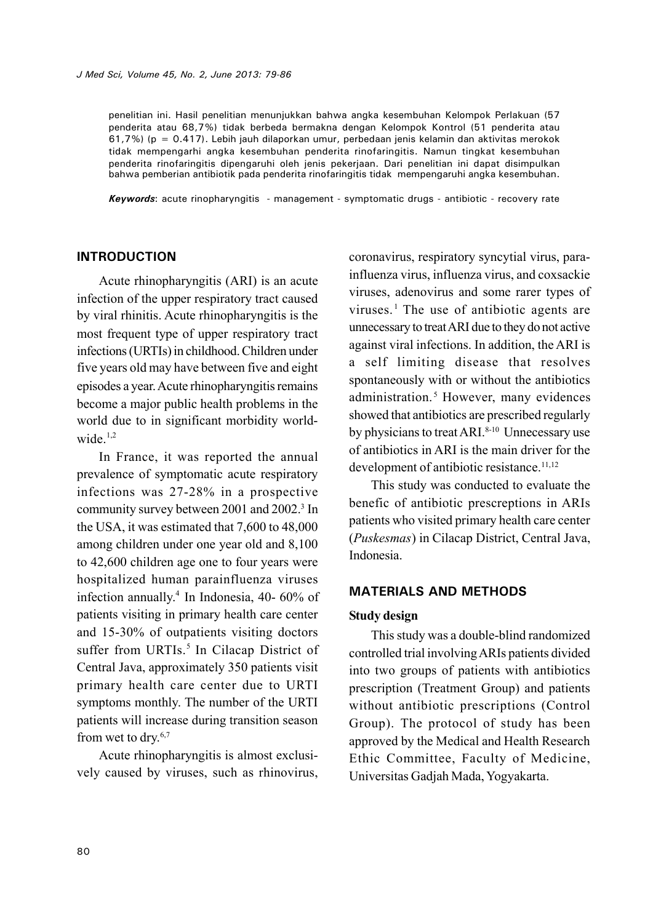*J Med Sci, Volume 45, No. 2, June 2013: 79-86*

penelitian ini. Hasil penelitian menunjukkan bahwa angka kesembuhan Kelompok Perlakuan (57 penderita atau 68,7%) tidak berbeda bermakna dengan Kelompok Kontrol (51 penderita atau 61,7%) ( $p = 0.417$ ). Lebih jauh dilaporkan umur, perbedaan jenis kelamin dan aktivitas merokok tidak mempengarhi angka kesembuhan penderita rinofaringitis. Namun tingkat kesembuhan penderita rinofaringitis dipengaruhi oleh jenis pekerjaan. Dari penelitian ini dapat disimpulkan bahwa pemberian antibiotik pada penderita rinofaringitis tidak mempengaruhi angka kesembuhan.

*Keywords*: acute rinopharyngitis - management - symptomatic drugs - antibiotic - recovery rate

## **INTRODUCTION**

Acute rhinopharyngitis (ARI) is an acute infection of the upper respiratory tract caused by viral rhinitis. Acute rhinopharyngitis is the most frequent type of upper respiratory tract infections (URTIs) in childhood. Children under five years old may have between five and eight episodes a year.Acute rhinopharyngitis remains become a major public health problems in the world due to in significant morbidity worldwide $1,2$ 

In France, it was reported the annual prevalence of symptomatic acute respiratory infections was 27-28% in a prospective community survey between 2001 and 2002.<sup>3</sup> In the USA, it was estimated that 7,600 to 48,000 among children under one year old and 8,100 to 42,600 children age one to four years were hospitalized human parainfluenza viruses infection annually.<sup>4</sup> In Indonesia, 40- 60% of patients visiting in primary health care center and 15-30% of outpatients visiting doctors suffer from URTIs.<sup>5</sup> In Cilacap District of Central Java, approximately 350 patients visit primary health care center due to URTI symptoms monthly. The number of the URTI patients will increase during transition season from wet to dry.6,7

Acute rhinopharyngitis is almost exclusively caused by viruses, such as rhinovirus,

coronavirus, respiratory syncytial virus, parainfluenza virus, influenza virus, and coxsackie viruses, adenovirus and some rarer types of viruses.<sup>1</sup> The use of antibiotic agents are unnecessary to treatARI due to they do not active against viral infections. In addition, the ARI is a self limiting disease that resolves spontaneously with or without the antibiotics administration.<sup>5</sup> However, many evidences showed that antibiotics are prescribed regularly by physicians to treat ARI.<sup>8-10</sup> Unnecessary use of antibiotics in ARI is the main driver for the development of antibiotic resistance.<sup>11,12</sup>

This study was conducted to evaluate the benefic of antibiotic prescreptions in ARIs patients who visited primary health care center (*Puskesmas*) in Cilacap District, Central Java, Indonesia.

## **MATERIALS AND METHODS**

#### **Study design**

This study was a double-blind randomized controlled trial involvingARIs patients divided into two groups of patients with antibiotics prescription (Treatment Group) and patients without antibiotic prescriptions (Control Group). The protocol of study has been approved by the Medical and Health Research Ethic Committee, Faculty of Medicine, Universitas Gadjah Mada, Yogyakarta.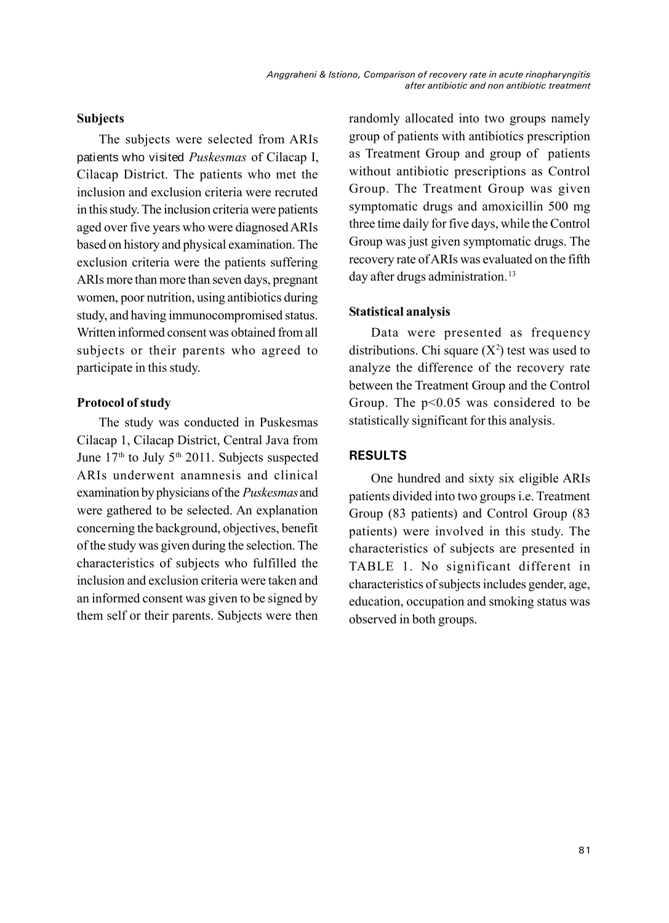## **Subjects**

The subjects were selected from ARIs patients who visited *Puskesmas* of Cilacap I, Cilacap District. The patients who met the inclusion and exclusion criteria were recruted in this study. The inclusion criteria were patients aged over five years who were diagnosed ARIs based on history and physical examination. The exclusion criteria were the patients suffering ARIs more than more than seven days, pregnant women, poor nutrition, using antibiotics during study, and having immunocompromised status. Written informed consent was obtained from all subjects or their parents who agreed to participate in this study.

#### **Protocol of study**

The study was conducted in Puskesmas Cilacap 1, Cilacap District, Central Java from June  $17<sup>th</sup>$  to July  $5<sup>th</sup>$  2011. Subjects suspected ARIs underwent anamnesis and clinical examination by physicians of the *Puskesmas*and were gathered to be selected. An explanation concerning the background, objectives, benefit of the study was given during the selection. The characteristics of subjects who fulfilled the inclusion and exclusion criteria were taken and an informed consent was given to be signed by them self or their parents. Subjects were then randomly allocated into two groups namely group of patients with antibiotics prescription as Treatment Group and group of patients without antibiotic prescriptions as Control Group. The Treatment Group was given symptomatic drugs and amoxicillin 500 mg three time daily for five days, while the Control Group was just given symptomatic drugs. The recovery rate ofARIs was evaluated on the fifth day after drugs administration.<sup>13</sup>

## **Statistical analysis**

Data were presented as frequency distributions. Chi square  $(X^2)$  test was used to analyze the difference of the recovery rate between the Treatment Group and the Control Group. The  $p<0.05$  was considered to be statistically significant for this analysis.

## **RESULTS**

One hundred and sixty six eligible ARIs patients divided into two groups i.e. Treatment Group (83 patients) and Control Group (83 patients) were involved in this study. The characteristics of subjects are presented in TABLE 1. No significant different in characteristics of subjects includes gender, age, education, occupation and smoking status was observed in both groups.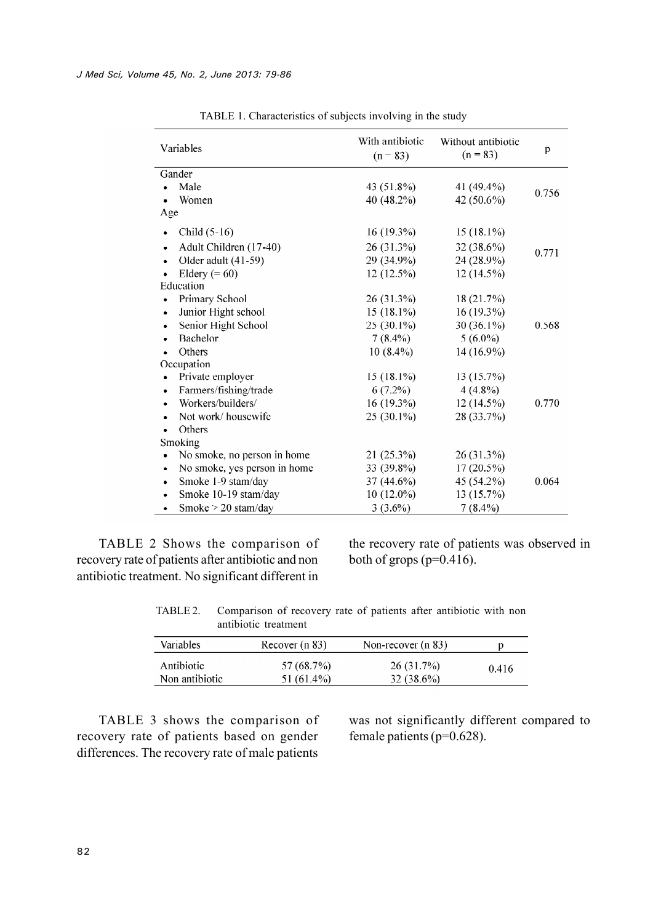| Variables                                 | With antibiotic<br>$(n = 83)$ | Without antibiotic<br>$(n = 83)$ | p     |
|-------------------------------------------|-------------------------------|----------------------------------|-------|
| Gander                                    |                               |                                  |       |
| Male                                      | 43 (51.8%)                    | 41 (49.4%)                       | 0.756 |
| Women                                     | 40 (48.2%)                    | 42 (50.6%)                       |       |
| Age                                       |                               |                                  |       |
| Child $(5-16)$<br>$\bullet$               | $16(19.3\%)$                  | $15(18.1\%)$                     |       |
| Adult Children (17-40)<br>۰               | 26 (31.3%)                    | 32 (38.6%)                       |       |
| Older adult (41-59)<br>$\bullet$          | 29 (34.9%)                    | 24 (28.9%)                       | 0.771 |
| Eldery $(= 60)$                           | 12 (12.5%)                    | 12 (14.5%)                       |       |
| Education                                 |                               |                                  |       |
| Primary School<br>$\bullet$               | 26 (31.3%)                    | 18 (21.7%)                       |       |
| Junior Hight school<br>$\bullet$          | $15(18.1\%)$                  | 16 (19.3%)                       |       |
| Senior Hight School<br>$\bullet$          | 25 (30.1%)                    | $30(36.1\%)$                     | 0.568 |
| Bachelor<br>$\bullet$                     | $7(8.4\%)$                    | $5(6.0\%)$                       |       |
| <b>Others</b>                             | $10(8.4\%)$                   | 14 (16.9%)                       |       |
| Occupation                                |                               |                                  |       |
| Private employer<br>$\bullet$             | $15(18.1\%)$                  | 13 (15.7%)                       |       |
| Farmers/fishing/trade<br>$\bullet$        | $6(7.2\%)$                    | $4(4.8\%)$                       |       |
| Workers/builders/<br>٠                    | 16 (19.3%)                    | 12 (14.5%)                       | 0.770 |
| Not work/housewife<br>$\bullet$           | 25 (30.1%)                    | 28 (33.7%)                       |       |
| <b>Others</b><br>٠                        |                               |                                  |       |
| Smoking                                   |                               |                                  |       |
| No smoke, no person in home               | 21 (25.3%)                    | 26 (31.3%)                       |       |
| No smoke, yes person in home<br>$\bullet$ | 33 (39.8%)                    | $17(20.5\%)$                     |       |
| Smoke 1-9 stam/day<br>$\bullet$           | 37 (44.6%)                    | 45 (54.2%)                       | 0.064 |
| Smoke 10-19 stam/day                      | 10 (12.0%)                    | 13 (15.7%)                       |       |
| Smoke $>$ 20 stam/day<br>$\bullet$        | $3(3.6\%)$                    | $7(8.4\%)$                       |       |

TABLE 1. Characteristics of subjects involving in the study

TABLE 2 Shows the comparison of recovery rate of patients after antibiotic and non antibiotic treatment. No significant different in

the recovery rate of patients was observed in both of grops (p=0.416).

TABLE 2. Comparison of recovery rate of patients after antibiotic with non antibiotic treatment

| <b>Variables</b> | Recover (n 83) | Non-recover $(n 83)$ | p     |
|------------------|----------------|----------------------|-------|
| Antibiotic       | 57 (68.7%)     | 26(31.7%)            | 0.416 |
| Non antibiotic   | $51(61.4\%)$   | $32(38.6\%)$         |       |

TABLE 3 shows the comparison of recovery rate of patients based on gender differences. The recovery rate of male patients

was not significantly different compared to female patients (p=0.628).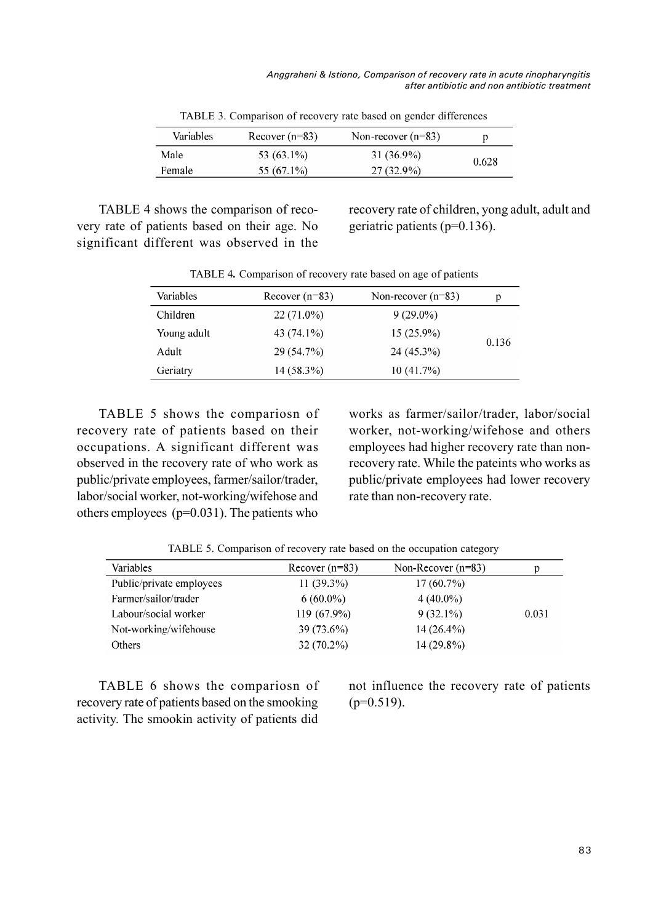| Variables | Recover $(n=83)$ | Non-recover $(n=83)$ |       |
|-----------|------------------|----------------------|-------|
| Male      | 53 (63.1%)       | 31 (36.9%)           | 0.628 |
| Female    | $55(67.1\%)$     | $27(32.9\%)$         |       |

TABLE 3. Comparison of recovery rate based on gender differences

TABLE 4 shows the comparison of recovery rate of patients based on their age. No significant different was observed in the

recovery rate of children, yong adult, adult and geriatric patients (p=0.136).

| Variables   | Recover $(n=83)$ | Non-recover $(n=83)$ | р     |
|-------------|------------------|----------------------|-------|
| Children    | 22 (71.0%)       | $9(29.0\%)$          |       |
| Young adult | 43 (74.1%)       | $15(25.9\%)$         | 0.136 |
| Adult       | 29 (54.7%)       | 24 (45.3%)           |       |
| Geriatry    | $14(58.3\%)$     | 10 (41.7%)           |       |

TABLE 4**.** Comparison of recovery rate based on age of patients

TABLE 5 shows the compariosn of recovery rate of patients based on their occupations. A significant different was observed in the recovery rate of who work as public/private employees, farmer/sailor/trader, labor/social worker, not-working/wifehose and others employees (p=0.031). The patients who

works as farmer/sailor/trader, labor/social worker, not-working/wifehose and others employees had higher recovery rate than nonrecovery rate. While the pateints who works as public/private employees had lower recovery rate than non-recovery rate.

TABLE 5. Comparison of recovery rate based on the occupation category

| Variables                | Recover $(n=83)$ | Non-Recover $(n=83)$ | p     |
|--------------------------|------------------|----------------------|-------|
| Public/private employees | $11(39.3\%)$     | $17(60.7\%)$         |       |
| Farmer/sailor/trader     | $6(60.0\%)$      | $4(40.0\%)$          |       |
| Labour/social worker     | 119 (67.9%)      | $9(32.1\%)$          | 0.031 |
| Not-working/wifehouse    | 39 (73.6%)       | $14(26.4\%)$         |       |
| Others                   | $32(70.2\%)$     | $14(29.8\%)$         |       |

TABLE 6 shows the compariosn of recovery rate of patients based on the smooking activity. The smookin activity of patients did

not influence the recovery rate of patients  $(p=0.519)$ .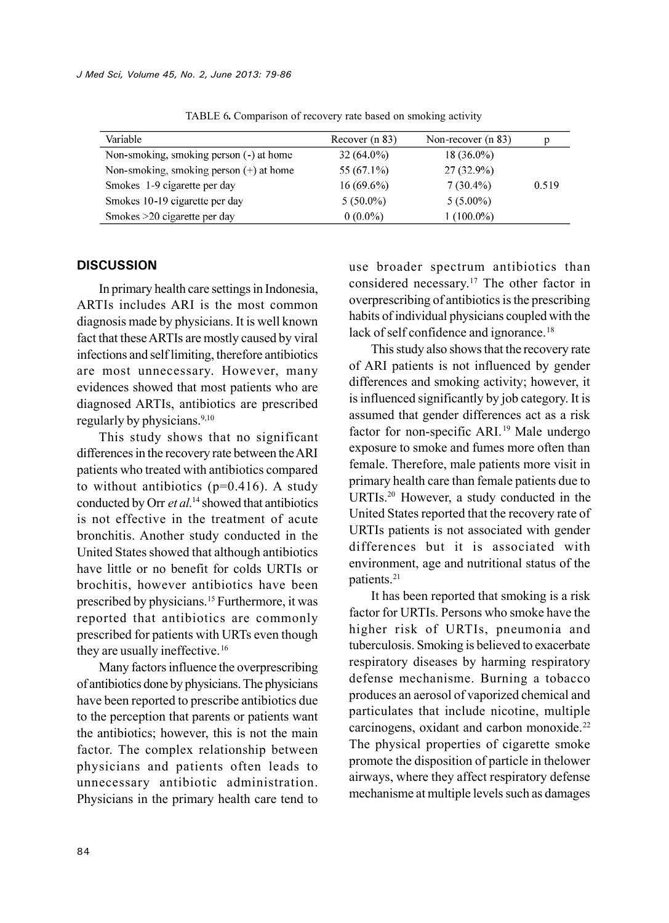| Variable                                  | Recover (n 83) | Non-recover (n 83) |       |
|-------------------------------------------|----------------|--------------------|-------|
| Non-smoking, smoking person (-) at home   | $32(64.0\%)$   | $18(36.0\%)$       |       |
| Non-smoking, smoking person $(+)$ at home | 55 $(67.1\%)$  | $27(32.9\%)$       |       |
| Smokes 1-9 cigarette per day              | $16(69.6\%)$   | $7(30.4\%)$        | 0.519 |
| Smokes 10-19 cigarette per day            | $5(50.0\%)$    | $5(5.00\%)$        |       |
| Smokes > 20 cigarette per day             | $0(0.0\%)$     | $(100.0\%)$        |       |

TABLE 6**.** Comparison of recovery rate based on smoking activity

#### **DISCUSSION**

In primary health care settings in Indonesia, ARTIs includes ARI is the most common diagnosis made by physicians. It is well known fact that these ARTIs are mostly caused by viral infections and self limiting, therefore antibiotics are most unnecessary. However, many evidences showed that most patients who are diagnosed ARTIs, antibiotics are prescribed regularly by physicians.<sup>9,10</sup>

This study shows that no significant differences in the recovery rate between theARI patients who treated with antibiotics compared to without antibiotics  $(p=0.416)$ . A study conducted by Orr *et al*. <sup>14</sup> showed that antibiotics is not effective in the treatment of acute bronchitis. Another study conducted in the United States showed that although antibiotics have little or no benefit for colds URTIs or brochitis, however antibiotics have been prescribed by physicians.<sup>15</sup> Furthermore, it was reported that antibiotics are commonly prescribed for patients with URTs even though they are usually ineffective.<sup>16</sup>

Many factors influence the overprescribing of antibiotics done by physicians. The physicians have been reported to prescribe antibiotics due to the perception that parents or patients want the antibiotics; however, this is not the main factor. The complex relationship between physicians and patients often leads to unnecessary antibiotic administration. Physicians in the primary health care tend to use broader spectrum antibiotics than considered necessary.<sup>17</sup> The other factor in overprescribing of antibiotics is the prescribing habits of individual physicians coupled with the lack of self confidence and ignorance.<sup>18</sup>

This study also shows that the recovery rate of ARI patients is not influenced by gender differences and smoking activity; however, it is influenced significantly by job category. It is assumed that gender differences act as a risk factor for non-specific ARI.<sup>19</sup> Male undergo exposure to smoke and fumes more often than female. Therefore, male patients more visit in primary health care than female patients due to URTIs.<sup>20</sup> However, a study conducted in the United States reported that the recovery rate of URTIs patients is not associated with gender differences but it is associated with environment, age and nutritional status of the patients.<sup>21</sup>

It has been reported that smoking is a risk factor for URTIs. Persons who smoke have the higher risk of URTIs, pneumonia and tuberculosis. Smoking is believed to exacerbate respiratory diseases by harming respiratory defense mechanisme. Burning a tobacco produces an aerosol of vaporized chemical and particulates that include nicotine, multiple carcinogens, oxidant and carbon monoxide.<sup>22</sup> The physical properties of cigarette smoke promote the disposition of particle in thelower airways, where they affect respiratory defense mechanisme at multiple levels such as damages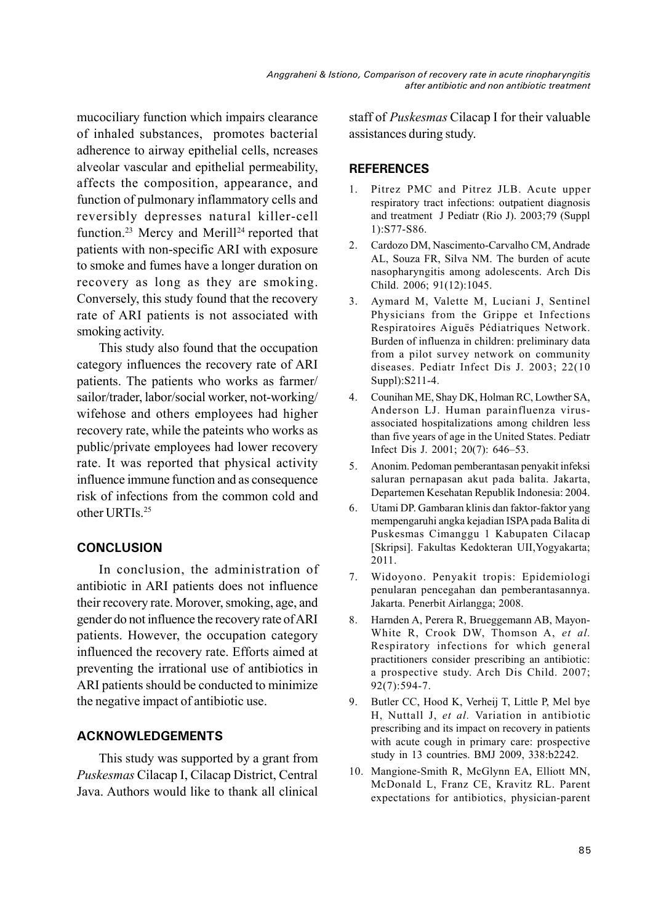mucociliary function which impairs clearance of inhaled substances, promotes bacterial adherence to airway epithelial cells, ncreases alveolar vascular and epithelial permeability, affects the composition, appearance, and function of pulmonary inflammatory cells and reversibly depresses natural killer-cell function.<sup>23</sup> Mercy and Merill<sup>24</sup> reported that patients with non-specific ARI with exposure to smoke and fumes have a longer duration on recovery as long as they are smoking. Conversely, this study found that the recovery rate of ARI patients is not associated with smoking activity.

This study also found that the occupation category influences the recovery rate of ARI patients. The patients who works as farmer/ sailor/trader, labor/social worker, not-working/ wifehose and others employees had higher recovery rate, while the pateints who works as public/private employees had lower recovery rate. It was reported that physical activity influence immune function and as consequence risk of infections from the common cold and other URTIs.<sup>25</sup>

# **CONCLUSION**

In conclusion, the administration of antibiotic in ARI patients does not influence their recovery rate. Morover, smoking, age, and gender do not influence the recovery rate ofARI patients. However, the occupation category influenced the recovery rate. Efforts aimed at preventing the irrational use of antibiotics in ARI patients should be conducted to minimize the negative impact of antibiotic use.

# **ACKNOWLEDGEMENTS**

This study was supported by a grant from *Puskesmas* Cilacap I, Cilacap District, Central Java. Authors would like to thank all clinical staff of *Puskesmas* Cilacap I for their valuable assistances during study.

## **REFERENCES**

- 1. Pitrez PMC and Pitrez JLB. Acute upper respiratory tract infections: outpatient diagnosis and treatment J Pediatr (Rio J). 2003;79 (Suppl 1):S77-S86.
- 2. Cardozo DM, Nascimento-Carvalho CM, Andrade AL, Souza FR, Silva NM. The burden of acute nasopharyngitis among adolescents. Arch Dis Child. 2006; 91(12):1045.
- 3. Aymard M, Valette M, Luciani J, Sentinel Physicians from the Grippe et Infections Respiratoires Aiguës Pédiatriques Network. Burden of influenza in children: preliminary data from a pilot survey network on community diseases. Pediatr Infect Dis J. 2003; 22(10 Suppl):S211-4.
- 4. Counihan ME, Shay DK, Holman RC, Lowther SA, Anderson LJ. Human parainfluenza virusassociated hospitalizations among children less than five years of age in the United States. Pediatr Infect Dis J. 2001; 20(7): 646–53.
- 5. Anonim. Pedoman pemberantasan penyakit infeksi saluran pernapasan akut pada balita. Jakarta, Departemen Kesehatan Republik Indonesia: 2004.
- 6. Utami DP. Gambaran klinis dan faktor-faktor yang mempengaruhi angka kejadian ISPA pada Balita di Puskesmas Cimanggu 1 Kabupaten Cilacap [Skripsi]. Fakultas Kedokteran UII,Yogyakarta; 2011.
- 7. Widoyono. Penyakit tropis: Epidemiologi penularan pencegahan dan pemberantasannya. Jakarta. Penerbit Airlangga; 2008.
- 8. Harnden A, Perera R, Brueggemann AB, Mayon-White R, Crook DW, Thomson A, *et al.* Respiratory infections for which general practitioners consider prescribing an antibiotic: a prospective study. Arch Dis Child. 2007; 92(7):594-7.
- 9. Butler CC, Hood K, Verheij T, Little P, Mel bye H, Nuttall J, *et al.* Variation in antibiotic prescribing and its impact on recovery in patients with acute cough in primary care: prospective study in 13 countries. BMJ 2009, 338:b2242.
- 10. Mangione-Smith R, McGlynn EA, Elliott MN, McDonald L, Franz CE, Kravitz RL. Parent expectations for antibiotics, physician-parent